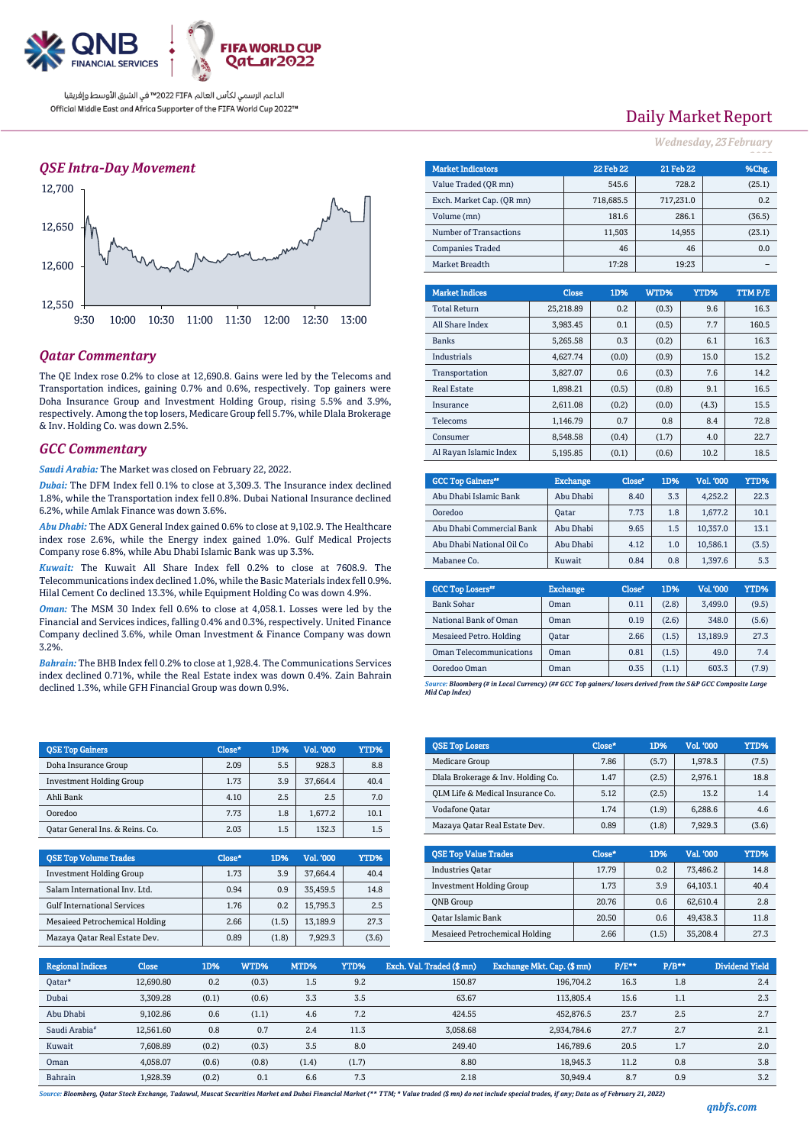

### *QSE Intra-Day Movement*



### *Qatar Commentary*

The QE Index rose 0.2% to close at 12,690.8. Gains were led by the Telecoms and Transportation indices, gaining 0.7% and 0.6%, respectively. Top gainers were Doha Insurance Group and Investment Holding Group, rising 5.5% and 3.9%, respectively. Among the top losers, Medicare Group fell 5.7%, while Dlala Brokerage & Inv. Holding Co. was down 2.5%.

### *GCC Commentary*

*Saudi Arabia:* The Market was closed on February 22, 2022.

*Dubai:* The DFM Index fell 0.1% to close at 3,309.3. The Insurance index declined 1.8%, while the Transportation index fell 0.8%. Dubai National Insurance declined 6.2%, while Amlak Finance was down 3.6%.

*Abu Dhabi:* The ADX General Index gained 0.6% to close at 9,102.9. The Healthcare index rose 2.6%, while the Energy index gained 1.0%. Gulf Medical Projects Company rose 6.8%, while Abu Dhabi Islamic Bank was up 3.3%.

*Kuwait:* The Kuwait All Share Index fell 0.2% to close at 7608.9. The Telecommunications index declined 1.0%, while the Basic Materials index fell 0.9%. Hilal Cement Co declined 13.3%, while Equipment Holding Co was down 4.9%.

*Oman:* The MSM 30 Index fell 0.6% to close at 4,058.1. Losses were led by the Financial and Services indices, falling 0.4% and 0.3%, respectively. United Finance Company declined 3.6%, while Oman Investment & Finance Company was down 3.2%.

*Bahrain:* The BHB Index fell 0.2% to close at 1,928.4. The Communications Services index declined 0.71%, while the Real Estate index was down 0.4%. Zain Bahrain declined 1.3%, while GFH Financial Group was down 0.9%.

| <b>OSE Top Gainers</b>          | Close* | 1D% | Vol. '000 | YTD% |
|---------------------------------|--------|-----|-----------|------|
| Doha Insurance Group            | 2.09   | 5.5 | 928.3     | 8.8  |
| <b>Investment Holding Group</b> | 1.73   | 3.9 | 37.664.4  | 40.4 |
| Ahli Bank                       | 4.10   | 2.5 | 2.5       | 7.0  |
| Ooredoo                         | 7.73   | 1.8 | 1.677.2   | 10.1 |
| Oatar General Ins. & Reins. Co. | 2.03   | 1.5 | 132.3     | 1.5  |

| <b>OSE Top Volume Trades</b>          | Close* | 1D%   | Vol. '000 | YTD%  |
|---------------------------------------|--------|-------|-----------|-------|
| <b>Investment Holding Group</b>       | 1.73   | 3.9   | 37.664.4  | 40.4  |
| Salam International Inv. Ltd.         | 0.94   | 0.9   | 35.459.5  | 14.8  |
| <b>Gulf International Services</b>    | 1.76   | 0.2   | 15.795.3  | 2.5   |
| <b>Mesaieed Petrochemical Holding</b> | 2.66   | (1.5) | 13.189.9  | 27.3  |
| Mazaya Qatar Real Estate Dev.         | 0.89   | (1.8) | 7.929.3   | (3.6) |

# Daily Market Report

*Wednesday, 23February*

| <b>Market Indicators</b>  |  |           | <b>22 Feb 22</b> | <b>21 Feb 22</b> |        |        | %Chg.  |
|---------------------------|--|-----------|------------------|------------------|--------|--------|--------|
| Value Traded (OR mn)      |  | 545.6     | 728.2            |                  |        | (25.1) |        |
| Exch. Market Cap. (OR mn) |  |           | 718,685.5        | 717,231.0        |        |        | 0.2    |
| Volume (mn)               |  |           | 181.6            |                  | 286.1  |        | (36.5) |
| Number of Transactions    |  |           | 11,503           |                  | 14,955 |        | (23.1) |
| <b>Companies Traded</b>   |  |           | 46               |                  | 46     |        | 0.0    |
| Market Breadth            |  |           | 17:28            |                  | 19:23  |        |        |
|                           |  |           |                  |                  |        |        |        |
| <b>Market Indices</b>     |  | Close     | 1D%              | WTD%             | YTD%   |        | TTMP/E |
| <b>Total Return</b>       |  | 25,218.89 | 0.2              | (0.3)            |        | 9.6    | 16.3   |
| All Share Index           |  | 3,983.45  | 0.1              | (0.5)            |        | 7.7    | 160.5  |
| <b>Banks</b>              |  | 5.265.58  | 0.3              | (0.2)            |        | 6.1    | 16.3   |
| Industrials               |  | 4,627.74  | (0.0)            | (0.9)            | 15.0   |        | 15.2   |
| Transportation            |  | 3,827.07  | 0.6              | (0.3)            |        | 7.6    | 14.2   |
| <b>Real Estate</b>        |  | 1,898.21  | (0.5)            | (0.8)            |        | 9.1    | 16.5   |
| Insurance                 |  | 2,611.08  | (0.2)            | (0.0)            | (4.3)  |        | 15.5   |
| Telecoms                  |  | 1,146.79  | 0.7              | 0.8              |        | 8.4    | 72.8   |
| Consumer                  |  | 8,548.58  | (0.4)            | (1.7)            |        | 4.0    | 22.7   |
| Al Rayan Islamic Index    |  | 5.195.85  | (0.1)            | (0.6)            | 10.2   |        | 18.5   |

| <b>GCC Top Gainers</b> "  | <b>Exchange</b> | Close <sup>®</sup> | 1D% | Vol. '000 | YTD%  |
|---------------------------|-----------------|--------------------|-----|-----------|-------|
| Abu Dhabi Islamic Bank    | Abu Dhabi       | 8.40               | 3.3 | 4.252.2   | 22.3  |
| Ooredoo                   | Oatar           | 7.73               | 1.8 | 1.677.2   | 10.1  |
| Abu Dhabi Commercial Bank | Abu Dhabi       | 9.65               | 1.5 | 10.357.0  | 13.1  |
| Abu Dhabi National Oil Co | Abu Dhabi       | 4.12               | 1.0 | 10.586.1  | (3.5) |
| Mabanee Co.               | Kuwait          | 0.84               | 0.8 | 1.397.6   | 5.3   |

| <b>GCC Top Losers</b> " | <b>Exchange</b> | Close <sup>®</sup> | 1D%   | <b>Vol.'000</b> | YTD%  |
|-------------------------|-----------------|--------------------|-------|-----------------|-------|
| <b>Bank Sohar</b>       | Oman            | 0.11               | (2.8) | 3,499.0         | (9.5) |
| National Bank of Oman   | Oman            | 0.19               | (2.6) | 348.0           | (5.6) |
| Mesaieed Petro. Holding | Oatar           | 2.66               | (1.5) | 13.189.9        | 27.3  |
| Oman Telecommunications | Oman            | 0.81               | (1.5) | 49.0            | 7.4   |
| Ooredoo Oman            | Oman            | 0.35               | (1.1) | 603.3           | (7.9) |

*Source: Bloomberg (# in Local Currency) (## GCC Top gainers/ losers derived from the S&P GCC Composite Large Mid Cap Index)*

| <b>QSE Top Losers</b>              | Close* | 1D%   | <b>Vol. '000</b> | YTD%  |
|------------------------------------|--------|-------|------------------|-------|
| <b>Medicare Group</b>              | 7.86   | (5.7) | 1.978.3          | (7.5) |
| Dlala Brokerage & Inv. Holding Co. | 1.47   | (2.5) | 2.976.1          | 18.8  |
| OLM Life & Medical Insurance Co.   | 5.12   | (2.5) | 13.2             | 1.4   |
| Vodafone Qatar                     | 1.74   | (1.9) | 6.288.6          | 4.6   |
| Mazaya Qatar Real Estate Dev.      | 0.89   | (1.8) | 7.929.3          | (3.6) |

| <b>OSE Top Value Trades</b>     | Close* | 1D%   | Val. '000 | YTD% |
|---------------------------------|--------|-------|-----------|------|
| <b>Industries Oatar</b>         | 17.79  | 0.2   | 73.486.2  | 14.8 |
| <b>Investment Holding Group</b> | 1.73   | 3.9   | 64.103.1  | 40.4 |
| <b>ONB</b> Group                | 20.76  | 0.6   | 62.610.4  | 2.8  |
| Qatar Islamic Bank              | 20.50  | 0.6   | 49.438.3  | 11.8 |
| Mesaieed Petrochemical Holding  | 2.66   | (1.5) | 35,208.4  | 27.3 |

| <b>Regional Indices</b> | <b>Close</b> | 1D%   | WTD%  | MTD%  | YTD%  | Exch. Val. Traded (\$mn) | Exchange Mkt. Cap. (\$ mn) | $P/E***$ | $P/B***$ | Dividend Yield |
|-------------------------|--------------|-------|-------|-------|-------|--------------------------|----------------------------|----------|----------|----------------|
| Oatar*                  | 12.690.80    | 0.2   | (0.3) | 1.5   | 9.2   | 150.87                   | 196.704.2                  | 16.3     | 1.8      | 2.4            |
| Dubai                   | 3.309.28     | (0.1) | (0.6) | 3.3   | 3.5   | 63.67                    | 113,805.4                  | 15.6     | 1.1      | 2.3            |
| Abu Dhabi               | 9,102.86     | 0.6   | (1.1) | 4.6   | 7.2   | 424.55                   | 452.876.5                  | 23.7     | 2.5      | 2.7            |
| Saudi Arabia#           | 12.561.60    | 0.8   | 0.7   | 2.4   | 11.3  | 3,058.68                 | 2,934,784.6                | 27.7     | 2.7      | 2.1            |
| Kuwait                  | 7.608.89     | (0.2) | (0.3) | 3.5   | 8.0   | 249.40                   | 146.789.6                  | 20.5     | 1.7      | 2.0            |
| Oman                    | 4.058.07     | (0.6) | (0.8) | (1.4) | (1.7) | 8.80                     | 18.945.3                   | 11.2     | 0.8      | 3.8            |
| Bahrain                 | 1.928.39     | (0.2) | 0.1   | 6.6   | 7.3   | 2.18                     | 30.949.4                   | 8.7      | 0.9      | 3.2            |

*Source: Bloomberg, Qatar Stock Exchange, Tadawul, Muscat Securities Market and Dubai Financial Market (\*\* TTM; \* Value traded (\$ mn) do not include special trades, if any; Data as of February 21, 2022)*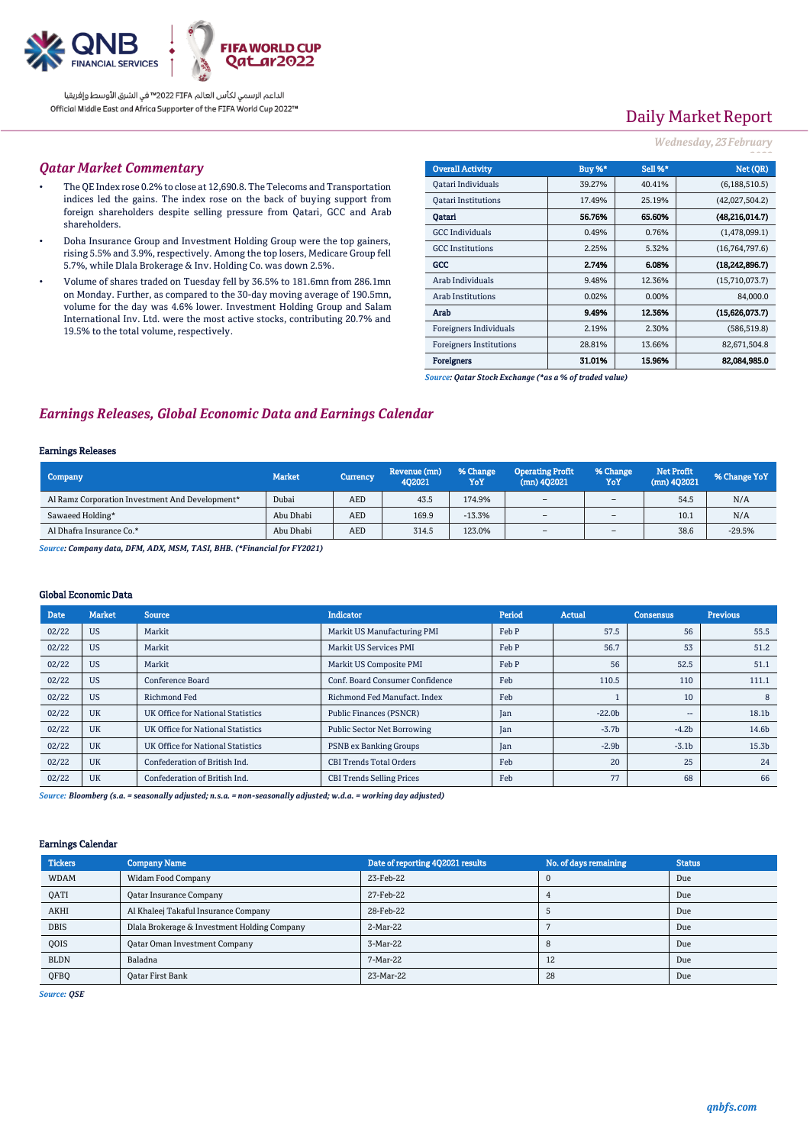

# Daily Market Report

### *Wednesday, 23February*

#### *Qatar Market Commentary*

- The QE Index rose 0.2% to close at 12,690.8. The Telecoms and Transportation indices led the gains. The index rose on the back of buying support from foreign shareholders despite selling pressure from Qatari, GCC and Arab shareholders.
- Doha Insurance Group and Investment Holding Group were the top gainers, rising 5.5% and 3.9%, respectively. Among the top losers, Medicare Group fell 5.7%, while Dlala Brokerage & Inv. Holding Co. was down 2.5%.
- Volume of shares traded on Tuesday fell by 36.5% to 181.6mn from 286.1mn on Monday. Further, as compared to the 30-day moving average of 190.5mn, volume for the day was 4.6% lower. Investment Holding Group and Salam International Inv. Ltd. were the most active stocks, contributing 20.7% and 19.5% to the total volume, respectively.

| <b>Overall Activity</b>        | Buy %* | Sell %* | Net (QR)        |
|--------------------------------|--------|---------|-----------------|
| Qatari Individuals             | 39.27% | 40.41%  | (6, 188, 510.5) |
| <b>Oatari Institutions</b>     | 17.49% | 25.19%  | (42,027,504.2)  |
| Oatari                         | 56.76% | 65.60%  | (48,216,014.7)  |
| <b>GCC</b> Individuals         | 0.49%  | 0.76%   | (1,478,099.1)   |
| <b>GCC</b> Institutions        | 2.25%  | 5.32%   | (16,764,797.6)  |
| GCC                            | 2.74%  | 6.08%   | (18,242,896.7)  |
| Arab Individuals               | 9.48%  | 12.36%  | (15,710,073.7)  |
| Arab Institutions              | 0.02%  | 0.00%   | 84,000.0        |
| Arab                           | 9.49%  | 12.36%  | (15,626,073.7)  |
| Foreigners Individuals         | 2.19%  | 2.30%   | (586, 519.8)    |
| <b>Foreigners Institutions</b> | 28.81% | 13.66%  | 82,671,504.8    |
| <b>Foreigners</b>              | 31.01% | 15.96%  | 82.084,985.0    |

*Source: Qatar Stock Exchange (\*as a % of traded value)*

## *Earnings Releases, Global Economic Data and Earnings Calendar*

#### Earnings Releases

| Company                                         | <b>Market</b> | Currency   | Revenue (mn)<br>402021 | % Change<br>YoY | <b>Operating Profit</b><br>$(mn)$ 402021 | % Change<br>YoY          | <b>Net Profit</b><br>$(mn)$ 402021 | % Change YoY |
|-------------------------------------------------|---------------|------------|------------------------|-----------------|------------------------------------------|--------------------------|------------------------------------|--------------|
| Al Ramz Corporation Investment And Development* | Dubai         | AED        | 43.5                   | 174.9%          | $\overline{\phantom{a}}$                 | $\sim$                   | 54.5                               | N/A          |
| Sawaeed Holding*                                | Abu Dhabi     | <b>AED</b> | 169.9                  | $-13.3%$        | $\sim$                                   | $\sim$                   | 10.1                               | N/A          |
| Al Dhafra Insurance Co.*                        | Abu Dhabi     | AED        | 314.5                  | 123.0%          | $\overline{\phantom{a}}$                 | $\overline{\phantom{a}}$ | 38.6                               | $-29.5%$     |

*Source: Company data, DFM, ADX, MSM, TASI, BHB. (\*Financial for FY2021)*

### Global Economic Data

| <b>Date</b> | <b>Market</b> | <b>Source</b>                            | <b>Indicator</b>                   | Period | Actual   | Consensus                | <b>Previous</b>   |
|-------------|---------------|------------------------------------------|------------------------------------|--------|----------|--------------------------|-------------------|
| 02/22       | <b>US</b>     | Markit                                   | Markit US Manufacturing PMI        | Feb P  | 57.5     | 56                       | 55.5              |
| 02/22       | <b>US</b>     | Markit                                   | Markit US Services PMI             | Feb P  | 56.7     | 53                       | 51.2              |
| 02/22       | <b>US</b>     | Markit                                   | Markit US Composite PMI            | Feb P  | 56       | 52.5                     | 51.1              |
| 02/22       | <b>US</b>     | <b>Conference Board</b>                  | Conf. Board Consumer Confidence    | Feb    | 110.5    | 110                      | 111.1             |
| 02/22       | <b>US</b>     | <b>Richmond Fed</b>                      | Richmond Fed Manufact, Index       | Feb    |          | 10                       | 8                 |
| 02/22       | <b>UK</b>     | <b>UK Office for National Statistics</b> | <b>Public Finances (PSNCR)</b>     | Jan    | $-22.0b$ | $\overline{\phantom{a}}$ | 18.1 <sub>b</sub> |
| 02/22       | <b>UK</b>     | <b>UK Office for National Statistics</b> | <b>Public Sector Net Borrowing</b> | Jan    | $-3.7b$  | $-4.2b$                  | 14.6b             |
| 02/22       | <b>UK</b>     | UK Office for National Statistics        | <b>PSNB</b> ex Banking Groups      | Jan    | $-2.9b$  | $-3.1b$                  | 15.3 <sub>b</sub> |
| 02/22       | <b>UK</b>     | Confederation of British Ind.            | <b>CBI Trends Total Orders</b>     | Feb    | 20       | 25                       | 24                |
| 02/22       | <b>UK</b>     | Confederation of British Ind.            | <b>CBI Trends Selling Prices</b>   | Feb    | 77       | 68                       | 66                |

*Source: Bloomberg (s.a. = seasonally adjusted; n.s.a. = non-seasonally adjusted; w.d.a. = working day adjusted)*

### Earnings Calendar

| <b>Tickers</b> | <b>Company Name</b>                          | Date of reporting 4Q2021 results | No. of days remaining | <b>Status</b> |
|----------------|----------------------------------------------|----------------------------------|-----------------------|---------------|
| <b>WDAM</b>    | <b>Widam Food Company</b>                    | 23-Feb-22                        |                       | Due           |
| <b>OATI</b>    | <b>Qatar Insurance Company</b>               | 27-Feb-22                        |                       | Due           |
| <b>AKHI</b>    | Al Khaleej Takaful Insurance Company         | 28-Feb-22                        |                       | Due           |
| <b>DBIS</b>    | Dlala Brokerage & Investment Holding Company | 2-Mar-22                         |                       | Due           |
| QOIS           | <b>Qatar Oman Investment Company</b>         | 3-Mar-22                         |                       | Due           |
| <b>BLDN</b>    | Baladna                                      | 7-Mar-22                         | 12                    | Due           |
| QFBQ           | Oatar First Bank                             | 23-Mar-22                        | 28                    | Due           |

*Source: QSE*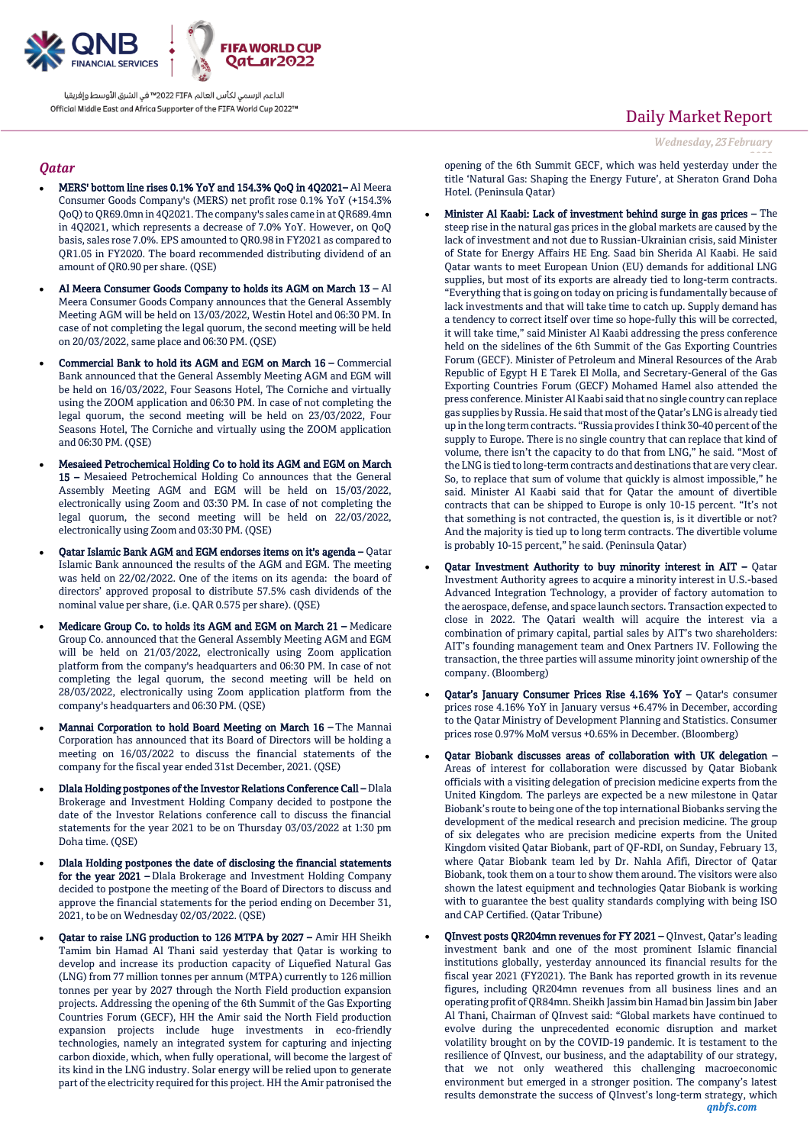

### *Qatar*

- MERS' bottom line rises 0.1% YoY and 154.3% QoQ in 4Q2021– Al Meera Consumer Goods Company's (MERS) net profit rose 0.1% YoY (+154.3% QoQ) to QR69.0mn in 4Q2021. The company's sales came in at QR689.4mn in 4Q2021, which represents a decrease of 7.0% YoY. However, on QoQ basis, sales rose 7.0%. EPS amounted to QR0.98 in FY2021 as compared to QR1.05 in FY2020. The board recommended distributing dividend of an amount of QR0.90 per share. (QSE)
- Al Meera Consumer Goods Company to holds its AGM on March 13 Al Meera Consumer Goods Company announces that the General Assembly Meeting AGM will be held on 13/03/2022, Westin Hotel and 06:30 PM. In case of not completing the legal quorum, the second meeting will be held on 20/03/2022, same place and 06:30 PM. (QSE)
- Commercial Bank to hold its AGM and EGM on March 16 Commercial Bank announced that the General Assembly Meeting AGM and EGM will be held on 16/03/2022, Four Seasons Hotel, The Corniche and virtually using the ZOOM application and 06:30 PM. In case of not completing the legal quorum, the second meeting will be held on 23/03/2022, Four Seasons Hotel, The Corniche and virtually using the ZOOM application and 06:30 PM. (QSE)
- Mesaieed Petrochemical Holding Co to hold its AGM and EGM on March 15 – Mesaieed Petrochemical Holding Co announces that the General Assembly Meeting AGM and EGM will be held on 15/03/2022, electronically using Zoom and 03:30 PM. In case of not completing the legal quorum, the second meeting will be held on 22/03/2022, electronically using Zoom and 03:30 PM. (QSE)
- Qatar Islamic Bank AGM and EGM endorses items on it's agenda Qatar Islamic Bank announced the results of the AGM and EGM. The meeting was held on 22/02/2022. One of the items on its agenda: the board of directors' approved proposal to distribute 57.5% cash dividends of the nominal value per share, (i.e. QAR 0.575 per share). (QSE)
- Medicare Group Co. to holds its AGM and EGM on March 21 Medicare Group Co. announced that the General Assembly Meeting AGM and EGM will be held on 21/03/2022, electronically using Zoom application platform from the company's headquarters and 06:30 PM. In case of not completing the legal quorum, the second meeting will be held on 28/03/2022, electronically using Zoom application platform from the company's headquarters and 06:30 PM. (QSE)
- Mannai Corporation to hold Board Meeting on March 16 The Mannai Corporation has announced that its Board of Directors will be holding a meeting on 16/03/2022 to discuss the financial statements of the company for the fiscal year ended 31st December, 2021. (QSE)
- Dlala Holding postpones of the Investor Relations Conference Call Dlala Brokerage and Investment Holding Company decided to postpone the date of the Investor Relations conference call to discuss the financial statements for the year 2021 to be on Thursday 03/03/2022 at 1:30 pm Doha time. (QSE)
- Dlala Holding postpones the date of disclosing the financial statements for the year 2021 – Dlala Brokerage and Investment Holding Company decided to postpone the meeting of the Board of Directors to discuss and approve the financial statements for the period ending on December 31, 2021, to be on Wednesday 02/03/2022. (QSE)
- Qatar to raise LNG production to 126 MTPA by 2027 Amir HH Sheikh Tamim bin Hamad Al Thani said yesterday that Qatar is working to develop and increase its production capacity of Liquefied Natural Gas (LNG) from 77 million tonnes per annum (MTPA) currently to 126 million tonnes per year by 2027 through the North Field production expansion projects. Addressing the opening of the 6th Summit of the Gas Exporting Countries Forum (GECF), HH the Amir said the North Field production expansion projects include huge investments in eco-friendly technologies, namely an integrated system for capturing and injecting carbon dioxide, which, when fully operational, will become the largest of its kind in the LNG industry. Solar energy will be relied upon to generate part of the electricity required for this project. HH the Amir patronised the

## Daily Market Report

*Wednesday, 23February*

*2022* opening of the 6th Summit GECF, which was held yesterday under the title 'Natural Gas: Shaping the Energy Future', at Sheraton Grand Doha Hotel. (Peninsula Qatar)

- Minister Al Kaabi: Lack of investment behind surge in gas prices The steep rise in the natural gas prices in the global markets are caused by the lack of investment and not due to Russian-Ukrainian crisis, said Minister of State for Energy Affairs HE Eng. Saad bin Sherida Al Kaabi. He said Qatar wants to meet European Union (EU) demands for additional LNG supplies, but most of its exports are already tied to long-term contracts. "Everything that is going on today on pricing is fundamentally because of lack investments and that will take time to catch up. Supply demand has a tendency to correct itself over time so hope-fully this will be corrected, it will take time," said Minister Al Kaabi addressing the press conference held on the sidelines of the 6th Summit of the Gas Exporting Countries Forum (GECF). Minister of Petroleum and Mineral Resources of the Arab Republic of Egypt H E Tarek El Molla, and Secretary-General of the Gas Exporting Countries Forum (GECF) Mohamed Hamel also attended the press conference. Minister Al Kaabi said that no single country can replace gas supplies by Russia. He said that most of the Qatar's LNG is already tied up in the long term contracts. "Russia provides I think 30-40 percent of the supply to Europe. There is no single country that can replace that kind of volume, there isn't the capacity to do that from LNG," he said. "Most of the LNG is tied to long-term contracts and destinations that are very clear. So, to replace that sum of volume that quickly is almost impossible," he said. Minister Al Kaabi said that for Qatar the amount of divertible contracts that can be shipped to Europe is only 10-15 percent. "It's not that something is not contracted, the question is, is it divertible or not? And the majority is tied up to long term contracts. The divertible volume is probably 10-15 percent," he said. (Peninsula Qatar)
- Qatar Investment Authority to buy minority interest in AIT Qatar Investment Authority agrees to acquire a minority interest in U.S.-based Advanced Integration Technology, a provider of factory automation to the aerospace, defense, and space launch sectors. Transaction expected to close in 2022. The Qatari wealth will acquire the interest via a combination of primary capital, partial sales by AIT's two shareholders: AIT's founding management team and Onex Partners IV. Following the transaction, the three parties will assume minority joint ownership of the company. (Bloomberg)
- Qatar's January Consumer Prices Rise 4.16% YoY Qatar's consumer prices rose 4.16% YoY in January versus +6.47% in December, according to the Qatar Ministry of Development Planning and Statistics. Consumer prices rose 0.97% MoM versus +0.65% in December. (Bloomberg)
- Qatar Biobank discusses areas of collaboration with UK delegation Areas of interest for collaboration were discussed by Qatar Biobank officials with a visiting delegation of precision medicine experts from the United Kingdom. The parleys are expected be a new milestone in Qatar Biobank's route to being one of the top international Biobanks serving the development of the medical research and precision medicine. The group of six delegates who are precision medicine experts from the United Kingdom visited Qatar Biobank, part of QF-RDI, on Sunday, February 13, where Qatar Biobank team led by Dr. Nahla Afifi, Director of Qatar Biobank, took them on a tour to show them around. The visitors were also shown the latest equipment and technologies Qatar Biobank is working with to guarantee the best quality standards complying with being ISO and CAP Certified. (Qatar Tribune)
- QInvest posts QR204mn revenues for FY 2021 QInvest, Qatar's leading investment bank and one of the most prominent Islamic financial institutions globally, yesterday announced its financial results for the fiscal year 2021 (FY2021). The Bank has reported growth in its revenue figures, including QR204mn revenues from all business lines and an operating profit of QR84mn. Sheikh Jassim bin Hamad bin Jassim bin Jaber Al Thani, Chairman of QInvest said: "Global markets have continued to evolve during the unprecedented economic disruption and market volatility brought on by the COVID-19 pandemic. It is testament to the resilience of QInvest, our business, and the adaptability of our strategy, that we not only weathered this challenging macroeconomic environment but emerged in a stronger position. The company's latest results demonstrate the success of QInvest's long-term strategy, which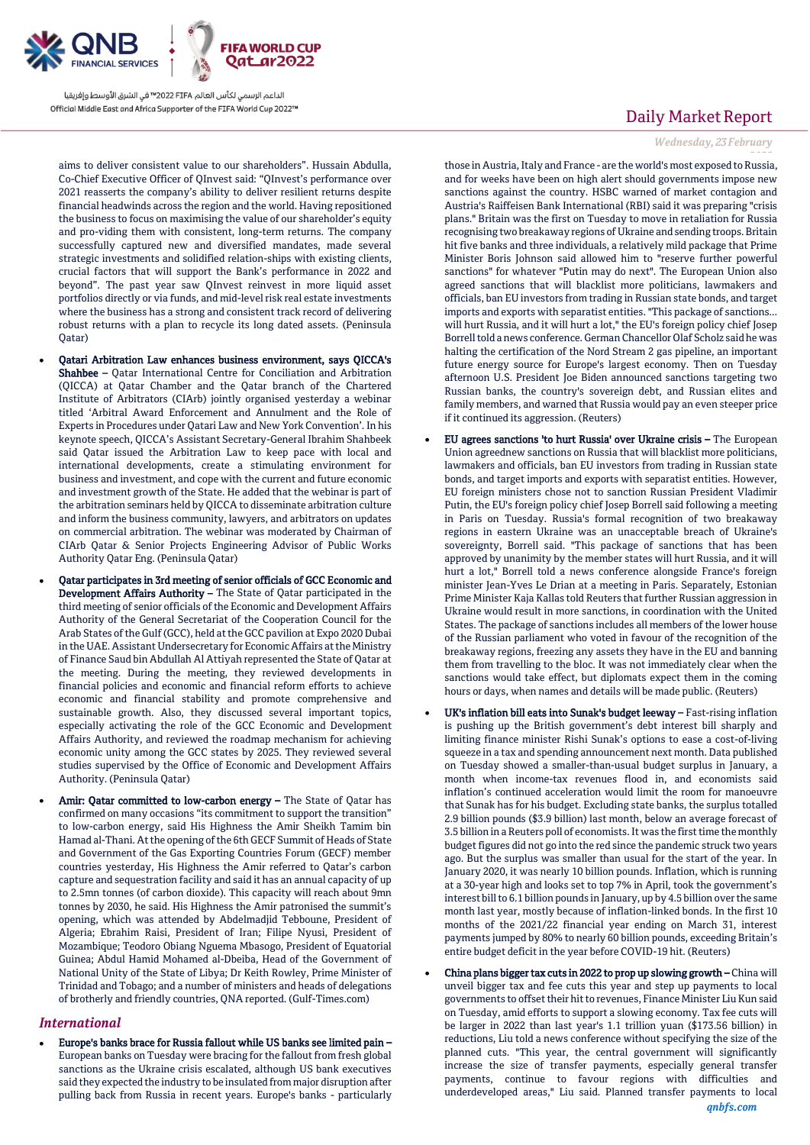

aims to deliver consistent value to our shareholders". Hussain Abdulla, Co-Chief Executive Officer of QInvest said: "QInvest's performance over 2021 reasserts the company's ability to deliver resilient returns despite financial headwinds across the region and the world. Having repositioned the business to focus on maximising the value of our shareholder's equity and pro-viding them with consistent, long-term returns. The company successfully captured new and diversified mandates, made several strategic investments and solidified relation-ships with existing clients, crucial factors that will support the Bank's performance in 2022 and beyond". The past year saw QInvest reinvest in more liquid asset portfolios directly or via funds, and mid-level risk real estate investments where the business has a strong and consistent track record of delivering robust returns with a plan to recycle its long dated assets. (Peninsula Qatar)

- Qatari Arbitration Law enhances business environment, says QICCA's Shahbee – Qatar International Centre for Conciliation and Arbitration (QICCA) at Qatar Chamber and the Qatar branch of the Chartered Institute of Arbitrators (CIArb) jointly organised yesterday a webinar titled 'Arbitral Award Enforcement and Annulment and the Role of Experts in Procedures under Qatari Law and New York Convention'. In his keynote speech, QICCA's Assistant Secretary-General Ibrahim Shahbeek said Qatar issued the Arbitration Law to keep pace with local and international developments, create a stimulating environment for business and investment, and cope with the current and future economic and investment growth of the State. He added that the webinar is part of the arbitration seminars held by QICCA to disseminate arbitration culture and inform the business community, lawyers, and arbitrators on updates on commercial arbitration. The webinar was moderated by Chairman of CIArb Qatar & Senior Projects Engineering Advisor of Public Works Authority Qatar Eng. (Peninsula Qatar)
- Qatar participates in 3rd meeting of senior officials of GCC Economic and Development Affairs Authority – The State of Qatar participated in the third meeting of senior officials of the Economic and Development Affairs Authority of the General Secretariat of the Cooperation Council for the Arab States of the Gulf (GCC), held at the GCC pavilion at Expo 2020 Dubai in the UAE. Assistant Undersecretary for Economic Affairs at the Ministry of Finance Saud bin Abdullah Al Attiyah represented the State of Qatar at the meeting. During the meeting, they reviewed developments in financial policies and economic and financial reform efforts to achieve economic and financial stability and promote comprehensive and sustainable growth. Also, they discussed several important topics, especially activating the role of the GCC Economic and Development Affairs Authority, and reviewed the roadmap mechanism for achieving economic unity among the GCC states by 2025. They reviewed several studies supervised by the Office of Economic and Development Affairs Authority. (Peninsula Qatar)
- Amir: Qatar committed to low-carbon energy The State of Qatar has confirmed on many occasions "its commitment to support the transition" to low-carbon energy, said His Highness the Amir Sheikh Tamim bin Hamad al-Thani. At the opening of the 6th GECF Summit of Heads of State and Government of the Gas Exporting Countries Forum (GECF) member countries yesterday, His Highness the Amir referred to Qatar's carbon capture and sequestration facility and said it has an annual capacity of up to 2.5mn tonnes (of carbon dioxide). This capacity will reach about 9mn tonnes by 2030, he said. His Highness the Amir patronised the summit's opening, which was attended by Abdelmadjid Tebboune, President of Algeria; Ebrahim Raisi, President of Iran; Filipe Nyusi, President of Mozambique; Teodoro Obiang Nguema Mbasogo, President of Equatorial Guinea; Abdul Hamid Mohamed al-Dbeiba, Head of the Government of National Unity of the State of Libya; Dr Keith Rowley, Prime Minister of Trinidad and Tobago; and a number of ministers and heads of delegations of brotherly and friendly countries, QNA reported. (Gulf-Times.com)

### *International*

 Europe's banks brace for Russia fallout while US banks see limited pain – European banks on Tuesday were bracing for the fallout from fresh global sanctions as the Ukraine crisis escalated, although US bank executives said they expected the industry to be insulated from major disruption after pulling back from Russia in recent years. Europe's banks - particularly

# Daily Market Report

### *Wednesday, 23February*

*2022* those in Austria, Italy and France - are the world's most exposed to Russia, and for weeks have been on high alert should governments impose new sanctions against the country. HSBC warned of market contagion and Austria's Raiffeisen Bank International (RBI) said it was preparing "crisis plans." Britain was the first on Tuesday to move in retaliation for Russia recognising two breakaway regions of Ukraine and sending troops. Britain hit five banks and three individuals, a relatively mild package that Prime Minister Boris Johnson said allowed him to "reserve further powerful sanctions" for whatever "Putin may do next". The European Union also agreed sanctions that will blacklist more politicians, lawmakers and officials, ban EU investors from trading in Russian state bonds, and target imports and exports with separatist entities. "This package of sanctions... will hurt Russia, and it will hurt a lot," the EU's foreign policy chief Josep Borrell told a news conference. German Chancellor Olaf Scholz said he was halting the certification of the Nord Stream 2 gas pipeline, an important future energy source for Europe's largest economy. Then on Tuesday afternoon U.S. President Joe Biden announced sanctions targeting two Russian banks, the country's sovereign debt, and Russian elites and family members, and warned that Russia would pay an even steeper price if it continued its aggression. (Reuters)

- EU agrees sanctions 'to hurt Russia' over Ukraine crisis The European Union agreednew sanctions on Russia that will blacklist more politicians, lawmakers and officials, ban EU investors from trading in Russian state bonds, and target imports and exports with separatist entities. However, EU foreign ministers chose not to sanction Russian President Vladimir Putin, the EU's foreign policy chief Josep Borrell said following a meeting in Paris on Tuesday. Russia's formal recognition of two breakaway regions in eastern Ukraine was an unacceptable breach of Ukraine's sovereignty, Borrell said. "This package of sanctions that has been approved by unanimity by the member states will hurt Russia, and it will hurt a lot," Borrell told a news conference alongside France's foreign minister Jean-Yves Le Drian at a meeting in Paris. Separately, Estonian Prime Minister Kaja Kallas told Reuters that further Russian aggression in Ukraine would result in more sanctions, in coordination with the United States. The package of sanctions includes all members of the lower house of the Russian parliament who voted in favour of the recognition of the breakaway regions, freezing any assets they have in the EU and banning them from travelling to the bloc. It was not immediately clear when the sanctions would take effect, but diplomats expect them in the coming hours or days, when names and details will be made public. (Reuters)
- UK's inflation bill eats into Sunak's budget leeway Fast-rising inflation is pushing up the British government's debt interest bill sharply and limiting finance minister Rishi Sunak's options to ease a cost-of-living squeeze in a tax and spending announcement next month. Data published on Tuesday showed a smaller-than-usual budget surplus in January, a month when income-tax revenues flood in, and economists said inflation's continued acceleration would limit the room for manoeuvre that Sunak has for his budget. Excluding state banks, the surplus totalled 2.9 billion pounds (\$3.9 billion) last month, below an average forecast of 3.5 billion in a Reuters poll of economists. It was the first time the monthly budget figures did not go into the red since the pandemic struck two years ago. But the surplus was smaller than usual for the start of the year. In January 2020, it was nearly 10 billion pounds. Inflation, which is running at a 30-year high and looks set to top 7% in April, took the government's interest bill to 6.1 billion pounds in January, up by 4.5 billion over the same month last year, mostly because of inflation-linked bonds. In the first 10 months of the 2021/22 financial year ending on March 31, interest payments jumped by 80% to nearly 60 billion pounds, exceeding Britain's entire budget deficit in the year before COVID-19 hit. (Reuters)
- China plans bigger tax cuts in 2022 to prop up slowing growth China will unveil bigger tax and fee cuts this year and step up payments to local governments to offset their hit to revenues, Finance Minister Liu Kun said on Tuesday, amid efforts to support a slowing economy. Tax fee cuts will be larger in 2022 than last year's 1.1 trillion yuan (\$173.56 billion) in reductions, Liu told a news conference without specifying the size of the planned cuts. "This year, the central government will significantly increase the size of transfer payments, especially general transfer payments, continue to favour regions with difficulties and underdeveloped areas," Liu said. Planned transfer payments to local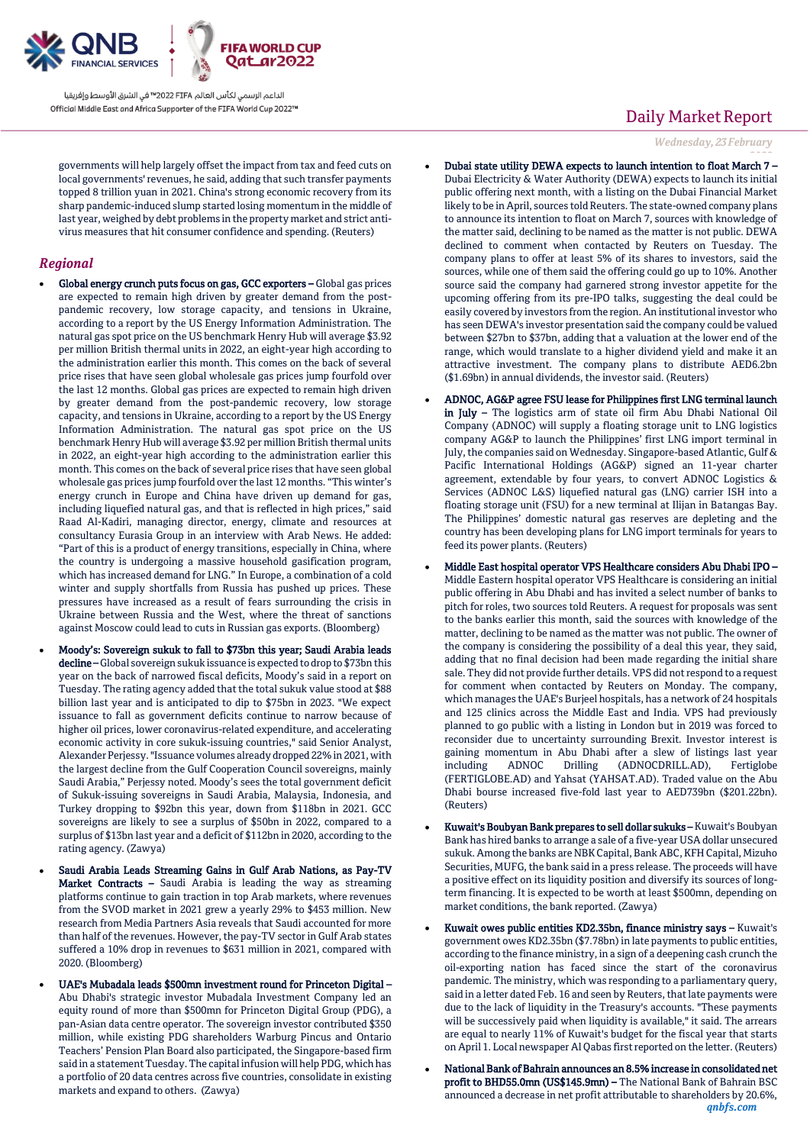

governments will help largely offset the impact from tax and feed cuts on local governments' revenues, he said, adding that such transfer payments topped 8 trillion yuan in 2021. China's strong economic recovery from its sharp pandemic-induced slump started losing momentum in the middle of last year, weighed by debt problems in the property market and strict antivirus measures that hit consumer confidence and spending. (Reuters)

### *Regional*

- Global energy crunch puts focus on gas, GCC exporters Global gas prices are expected to remain high driven by greater demand from the postpandemic recovery, low storage capacity, and tensions in Ukraine, according to a report by the US Energy Information Administration. The natural gas spot price on the US benchmark Henry Hub will average \$3.92 per million British thermal units in 2022, an eight-year high according to the administration earlier this month. This comes on the back of several price rises that have seen global wholesale gas prices jump fourfold over the last 12 months. Global gas prices are expected to remain high driven by greater demand from the post-pandemic recovery, low storage capacity, and tensions in Ukraine, according to a report by the US Energy Information Administration. The natural gas spot price on the US benchmark Henry Hub will average \$3.92 per million British thermal units in 2022, an eight-year high according to the administration earlier this month. This comes on the back of several price rises that have seen global wholesale gas prices jump fourfold over the last 12 months. "This winter's energy crunch in Europe and China have driven up demand for gas, including liquefied natural gas, and that is reflected in high prices," said Raad Al-Kadiri, managing director, energy, climate and resources at consultancy Eurasia Group in an interview with Arab News. He added: "Part of this is a product of energy transitions, especially in China, where the country is undergoing a massive household gasification program, which has increased demand for LNG." In Europe, a combination of a cold winter and supply shortfalls from Russia has pushed up prices. These pressures have increased as a result of fears surrounding the crisis in Ukraine between Russia and the West, where the threat of sanctions against Moscow could lead to cuts in Russian gas exports. (Bloomberg)
- Moody's: Sovereign sukuk to fall to \$73bn this year; Saudi Arabia leads decline – Global sovereign sukuk issuance is expected to drop to \$73bn this year on the back of narrowed fiscal deficits, Moody's said in a report on Tuesday. The rating agency added that the total sukuk value stood at \$88 billion last year and is anticipated to dip to \$75bn in 2023. "We expect issuance to fall as government deficits continue to narrow because of higher oil prices, lower coronavirus-related expenditure, and accelerating economic activity in core sukuk-issuing countries," said Senior Analyst, Alexander Perjessy. "Issuance volumes already dropped 22% in 2021, with the largest decline from the Gulf Cooperation Council sovereigns, mainly Saudi Arabia," Perjessy noted. Moody's sees the total government deficit of Sukuk-issuing sovereigns in Saudi Arabia, Malaysia, Indonesia, and Turkey dropping to \$92bn this year, down from \$118bn in 2021. GCC sovereigns are likely to see a surplus of \$50bn in 2022, compared to a surplus of \$13bn last year and a deficit of \$112bn in 2020, according to the rating agency. (Zawya)
- Saudi Arabia Leads Streaming Gains in Gulf Arab Nations, as Pay-TV Market Contracts - Saudi Arabia is leading the way as streaming platforms continue to gain traction in top Arab markets, where revenues from the SVOD market in 2021 grew a yearly 29% to \$453 million. New research from Media Partners Asia reveals that Saudi accounted for more than half of the revenues. However, the pay-TV sector in Gulf Arab states suffered a 10% drop in revenues to \$631 million in 2021, compared with 2020. (Bloomberg)
- UAE's Mubadala leads \$500mn investment round for Princeton Digital Abu Dhabi's strategic investor Mubadala Investment Company led an equity round of more than \$500mn for Princeton Digital Group (PDG), a pan-Asian data centre operator. The sovereign investor contributed \$350 million, while existing PDG shareholders Warburg Pincus and Ontario Teachers' Pension Plan Board also participated, the Singapore-based firm said in a statement Tuesday. The capital infusion will help PDG, which has a portfolio of 20 data centres across five countries, consolidate in existing markets and expand to others. (Zawya)

## Daily Market Report

*Wednesday, 23February*

- *2022* Dubai state utility DEWA expects to launch intention to float March 7 Dubai Electricity & Water Authority (DEWA) expects to launch its initial public offering next month, with a listing on the Dubai Financial Market likely to be in April, sources told Reuters. The state-owned company plans to announce its intention to float on March 7, sources with knowledge of the matter said, declining to be named as the matter is not public. DEWA declined to comment when contacted by Reuters on Tuesday. The company plans to offer at least 5% of its shares to investors, said the sources, while one of them said the offering could go up to 10%. Another source said the company had garnered strong investor appetite for the upcoming offering from its pre-IPO talks, suggesting the deal could be easily covered by investors from the region. An institutional investor who has seen DEWA's investor presentation said the company could be valued between \$27bn to \$37bn, adding that a valuation at the lower end of the range, which would translate to a higher dividend yield and make it an attractive investment. The company plans to distribute AED6.2bn (\$1.69bn) in annual dividends, the investor said. (Reuters)
- ADNOC, AG&P agree FSU lease for Philippines first LNG terminal launch in July – The logistics arm of state oil firm Abu Dhabi National Oil Company (ADNOC) will supply a floating storage unit to LNG logistics company AG&P to launch the Philippines' first LNG import terminal in July, the companies said on Wednesday. Singapore-based Atlantic, Gulf & Pacific International Holdings (AG&P) signed an 11-year charter agreement, extendable by four years, to convert ADNOC Logistics & Services (ADNOC L&S) liquefied natural gas (LNG) carrier ISH into a floating storage unit (FSU) for a new terminal at Ilijan in Batangas Bay. The Philippines' domestic natural gas reserves are depleting and the country has been developing plans for LNG import terminals for years to feed its power plants. (Reuters)
- Middle East hospital operator VPS Healthcare considers Abu Dhabi IPO Middle Eastern hospital operator VPS Healthcare is considering an initial public offering in Abu Dhabi and has invited a select number of banks to pitch for roles, two sources told Reuters. A request for proposals was sent to the banks earlier this month, said the sources with knowledge of the matter, declining to be named as the matter was not public. The owner of the company is considering the possibility of a deal this year, they said, adding that no final decision had been made regarding the initial share sale. They did not provide further details. VPS did not respond to a request for comment when contacted by Reuters on Monday. The company, which manages the UAE's Burjeel hospitals, has a network of 24 hospitals and 125 clinics across the Middle East and India. VPS had previously planned to go public with a listing in London but in 2019 was forced to reconsider due to uncertainty surrounding Brexit. Investor interest is gaining momentum in Abu Dhabi after a slew of listings last year including ADNOC Drilling (ADNOCDRILL.AD), Fertiglobe (FERTIGLOBE.AD) and Yahsat (YAHSAT.AD). Traded value on the Abu Dhabi bourse increased five-fold last year to AED739bn (\$201.22bn). (Reuters)
- Kuwait's Boubyan Bank prepares to sell dollar sukuks Kuwait's Boubyan Bank has hired banks to arrange a sale of a five-year USA dollar unsecured sukuk. Among the banks are NBK Capital, Bank ABC, KFH Capital, Mizuho Securities, MUFG, the bank said in a press release. The proceeds will have a positive effect on its liquidity position and diversify its sources of longterm financing. It is expected to be worth at least \$500mn, depending on market conditions, the bank reported. (Zawya)
- Kuwait owes public entities KD2.35bn, finance ministry says Kuwait's government owes KD2.35bn (\$7.78bn) in late payments to public entities, according to the finance ministry, in a sign of a deepening cash crunch the oil-exporting nation has faced since the start of the coronavirus pandemic. The ministry, which was responding to a parliamentary query, said in a letter dated Feb. 16 and seen by Reuters, that late payments were due to the lack of liquidity in the Treasury's accounts. "These payments will be successively paid when liquidity is available," it said. The arrears are equal to nearly 11% of Kuwait's budget for the fiscal year that starts on April 1. Local newspaper Al Qabas first reported on the letter. (Reuters)
- *qnbfs.com* National Bank of Bahrain announces an 8.5% increase in consolidated net profit to BHD55.0mn (US\$145.9mn) – The National Bank of Bahrain BSC announced a decrease in net profit attributable to shareholders by 20.6%,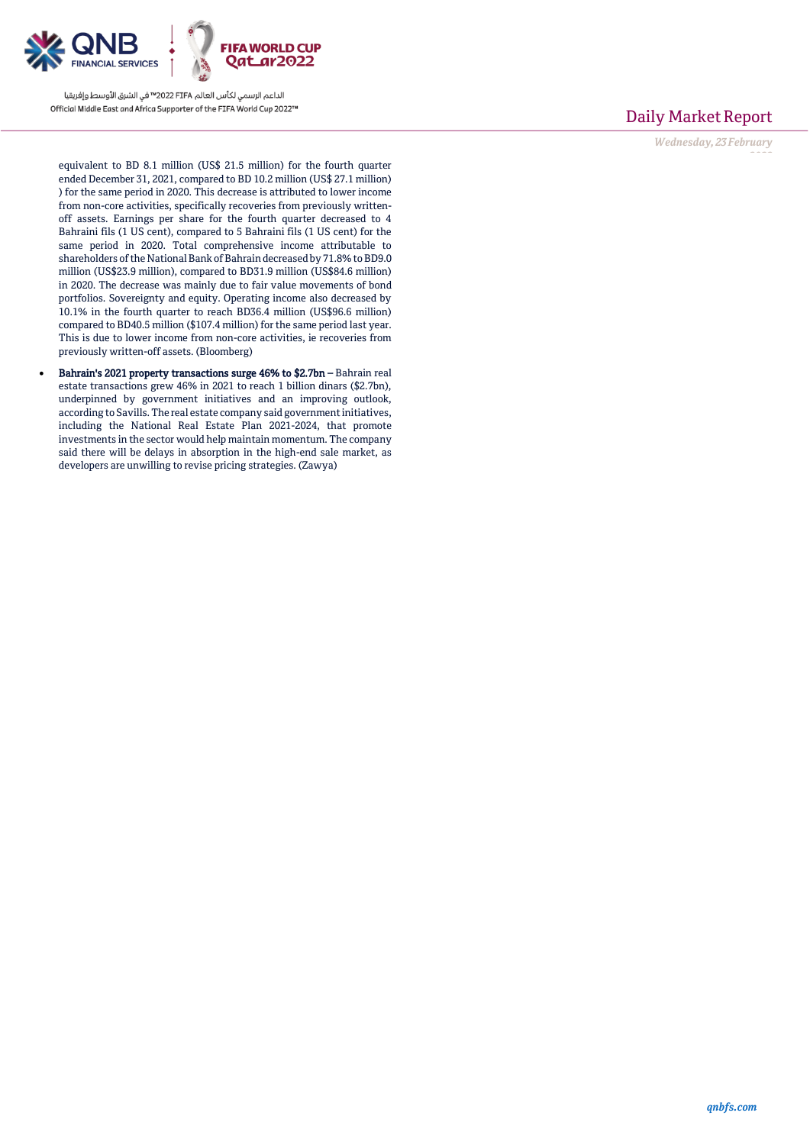

equivalent to BD 8.1 million (US\$ 21.5 million) for the fourth quarter ended December 31, 2021, compared to BD 10.2 million (US\$ 27.1 million) ) for the same period in 2020. This decrease is attributed to lower income from non-core activities, specifically recoveries from previously writtenoff assets. Earnings per share for the fourth quarter decreased to 4 Bahraini fils (1 US cent), compared to 5 Bahraini fils (1 US cent) for the same period in 2020. Total comprehensive income attributable to shareholders of the National Bank of Bahrain decreased by 71.8% to BD9.0 million (US\$23.9 million), compared to BD31.9 million (US\$84.6 million) in 2020. The decrease was mainly due to fair value movements of bond portfolios. Sovereignty and equity. Operating income also decreased by 10.1% in the fourth quarter to reach BD36.4 million (US\$96.6 million) compared to BD40.5 million (\$107.4 million) for the same period last year. This is due to lower income from non-core activities, ie recoveries from previously written-off assets. (Bloomberg)

 Bahrain's 2021 property transactions surge 46% to \$2.7bn – Bahrain real estate transactions grew 46% in 2021 to reach 1 billion dinars (\$2.7bn), underpinned by government initiatives and an improving outlook, according to Savills. The real estate company said government initiatives, including the National Real Estate Plan 2021-2024, that promote investments in the sector would help maintain momentum. The company said there will be delays in absorption in the high-end sale market, as developers are unwilling to revise pricing strategies. (Zawya)

## Daily Market Report

*Wednesday, 23February*

*2022*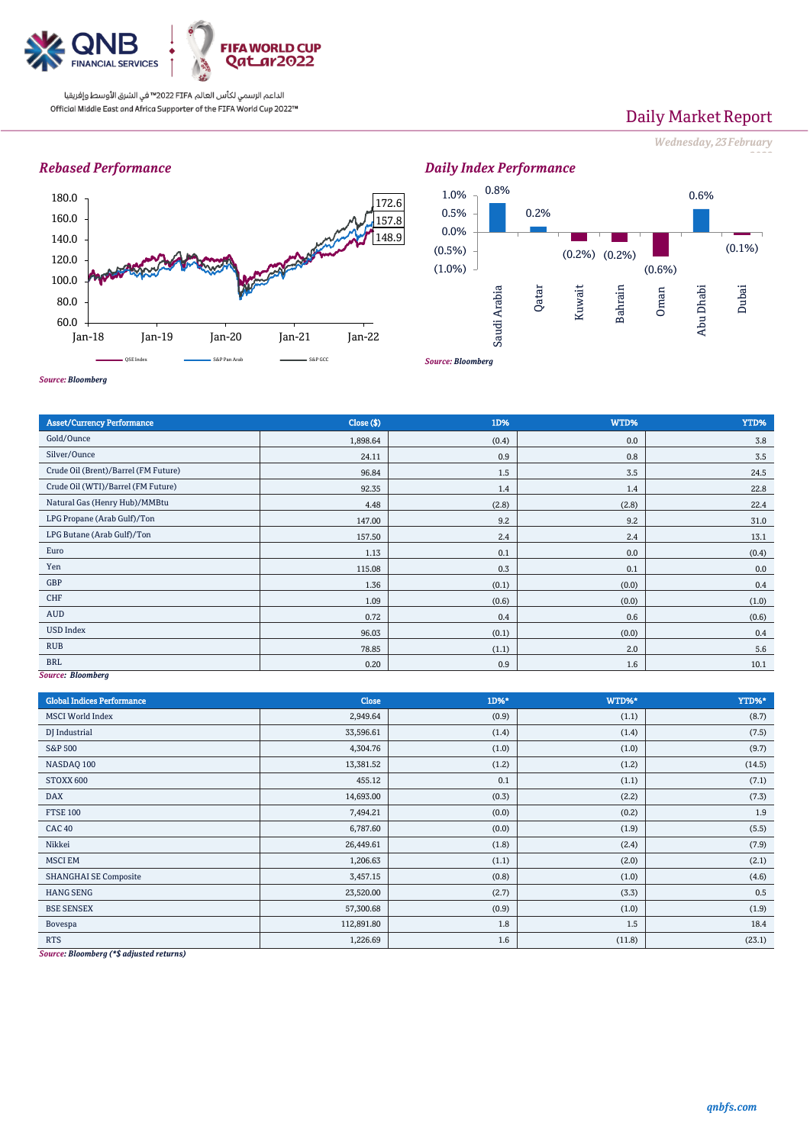

# Daily Market Report

*Wednesday, 23February*

*2022*

## *Rebased Performance*





*Source: Bloomberg*

| <b>Asset/Currency Performance</b>    | Close ( \$) | 1D%   | WTD%  | YTD%  |  |  |
|--------------------------------------|-------------|-------|-------|-------|--|--|
| Gold/Ounce                           | 1,898.64    | (0.4) | 0.0   | 3.8   |  |  |
| Silver/Ounce                         | 24.11       | 0.9   | 0.8   | 3.5   |  |  |
| Crude Oil (Brent)/Barrel (FM Future) | 96.84       | 1.5   | 3.5   | 24.5  |  |  |
| Crude Oil (WTI)/Barrel (FM Future)   | 92.35       | 1.4   | 1.4   | 22.8  |  |  |
| Natural Gas (Henry Hub)/MMBtu        | 4.48        | (2.8) | (2.8) | 22.4  |  |  |
| LPG Propane (Arab Gulf)/Ton          | 147.00      | 9.2   | 9.2   | 31.0  |  |  |
| LPG Butane (Arab Gulf)/Ton           | 157.50      | 2.4   | 2.4   | 13.1  |  |  |
| Euro                                 | 1.13        | 0.1   | 0.0   | (0.4) |  |  |
| Yen                                  | 115.08      | 0.3   | 0.1   | 0.0   |  |  |
| GBP                                  | 1.36        | (0.1) | (0.0) | 0.4   |  |  |
| CHF                                  | 1.09        | (0.6) | (0.0) | (1.0) |  |  |
| <b>AUD</b>                           | 0.72        | 0.4   | 0.6   | (0.6) |  |  |
| <b>USD Index</b>                     | 96.03       | (0.1) | (0.0) | 0.4   |  |  |
| <b>RUB</b>                           | 78.85       | (1.1) | 2.0   | 5.6   |  |  |
| <b>BRL</b>                           | 0.20        | 0.9   | 1.6   | 10.1  |  |  |
| Source: Bloomberg                    |             |       |       |       |  |  |

*Source: Bloomberg*

| <b>Global Indices Performance</b> | Close      | 1D%*  | WTD%*  | YTD%*  |
|-----------------------------------|------------|-------|--------|--------|
| <b>MSCI</b> World Index           | 2,949.64   | (0.9) | (1.1)  | (8.7)  |
| DJ Industrial                     | 33,596.61  | (1.4) | (1.4)  | (7.5)  |
| <b>S&amp;P 500</b>                | 4,304.76   | (1.0) | (1.0)  | (9.7)  |
| NASDAQ 100                        | 13,381.52  | (1.2) | (1.2)  | (14.5) |
| STOXX 600                         | 455.12     | 0.1   | (1.1)  | (7.1)  |
| <b>DAX</b>                        | 14,693.00  | (0.3) | (2.2)  | (7.3)  |
| <b>FTSE 100</b>                   | 7,494.21   | (0.0) | (0.2)  | 1.9    |
| <b>CAC 40</b>                     | 6,787.60   | (0.0) | (1.9)  | (5.5)  |
| Nikkei                            | 26,449.61  | (1.8) | (2.4)  | (7.9)  |
| <b>MSCI EM</b>                    | 1,206.63   | (1.1) | (2.0)  | (2.1)  |
| <b>SHANGHAI SE Composite</b>      | 3,457.15   | (0.8) | (1.0)  | (4.6)  |
| <b>HANG SENG</b>                  | 23,520.00  | (2.7) | (3.3)  | 0.5    |
| <b>BSE SENSEX</b>                 | 57,300.68  | (0.9) | (1.0)  | (1.9)  |
| Bovespa                           | 112,891.80 | 1.8   | 1.5    | 18.4   |
| <b>RTS</b>                        | 1,226.69   | 1.6   | (11.8) | (23.1) |

*Source: Bloomberg (\*\$ adjusted returns)*